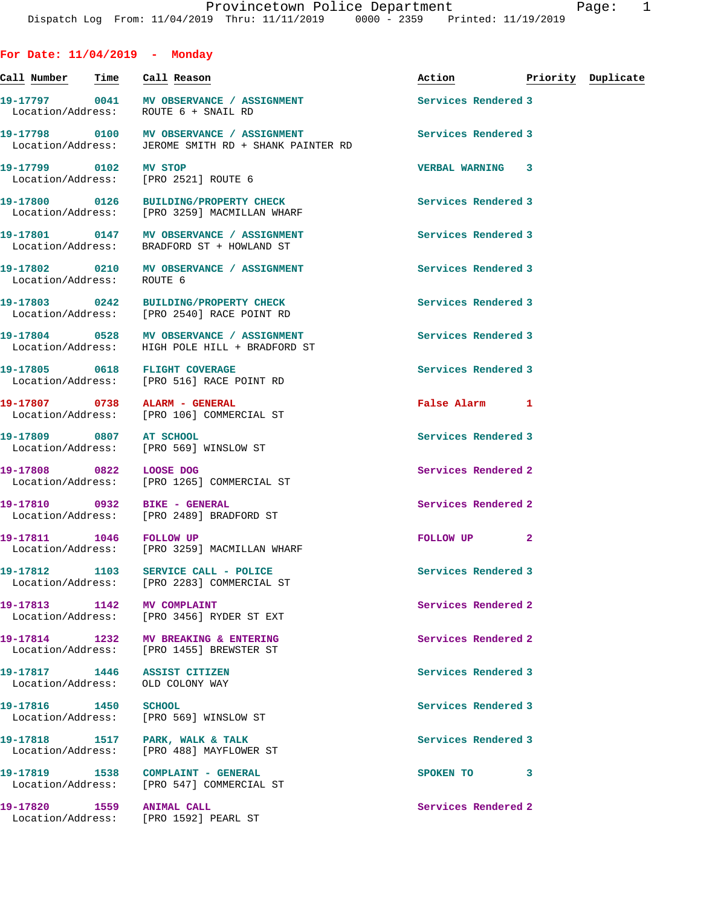| For Date: $11/04/2019$ - Monday                                             |                                                                                                  |                                  |              |  |
|-----------------------------------------------------------------------------|--------------------------------------------------------------------------------------------------|----------------------------------|--------------|--|
| <u>Call Number — Time — Call Reason</u>                                     |                                                                                                  | Action <b>Priority</b> Duplicate |              |  |
| Location/Address: ROUTE 6 + SNAIL RD                                        | 19-17797 0041 MV OBSERVANCE / ASSIGNMENT                                                         | Services Rendered 3              |              |  |
|                                                                             | 19-17798 0100 MV OBSERVANCE / ASSIGNMENT<br>Location/Address: JEROME SMITH RD + SHANK PAINTER RD | Services Rendered 3              |              |  |
| 19-17799 0102 MV STOP<br>Location/Address: [PRO 2521] ROUTE 6               |                                                                                                  | <b>VERBAL WARNING 3</b>          |              |  |
|                                                                             | 19-17800 0126 BUILDING/PROPERTY CHECK<br>Location/Address: [PRO 3259] MACMILLAN WHARF            | Services Rendered 3              |              |  |
|                                                                             | 19-17801 0147 MV OBSERVANCE / ASSIGNMENT<br>Location/Address: BRADFORD ST + HOWLAND ST           | Services Rendered 3              |              |  |
| Location/Address:                                                           | 19-17802 0210 MV OBSERVANCE / ASSIGNMENT<br>ROUTE 6                                              | Services Rendered 3              |              |  |
|                                                                             | 19-17803 0242 BUILDING/PROPERTY CHECK<br>Location/Address: [PRO 2540] RACE POINT RD              | Services Rendered 3              |              |  |
|                                                                             | 19-17804 0528 MV OBSERVANCE / ASSIGNMENT<br>Location/Address: HIGH POLE HILL + BRADFORD ST       | Services Rendered 3              |              |  |
| 19-17805 0618 FLIGHT COVERAGE                                               | Location/Address: [PRO 516] RACE POINT RD                                                        | Services Rendered 3              |              |  |
| 19-17807 0738 ALARM - GENERAL                                               | Location/Address: [PRO 106] COMMERCIAL ST                                                        | False Alarm 1                    |              |  |
| 19-17809 0807 AT SCHOOL<br>Location/Address: [PRO 569] WINSLOW ST           |                                                                                                  | Services Rendered 3              |              |  |
|                                                                             | 19-17808 0822 LOOSE DOG<br>Location/Address: [PRO 1265] COMMERCIAL ST                            | Services Rendered 2              |              |  |
| 19-17810 0932 BIKE - GENERAL                                                | Location/Address: [PRO 2489] BRADFORD ST                                                         | Services Rendered 2              |              |  |
| 19-17811 1046 FOLLOW UP                                                     | Location/Address: [PRO 3259] MACMILLAN WHARF                                                     | FOLLOW UP                        | $\mathbf{2}$ |  |
| 19-17812 1103 SERVICE CALL - POLICE                                         | Location/Address: [PRO 2283] COMMERCIAL ST                                                       | Services Rendered 3              |              |  |
| 19-17813 1142 MV COMPLAINT<br>Location/Address:                             | [PRO 3456] RYDER ST EXT                                                                          | Services Rendered 2              |              |  |
|                                                                             | 19-17814 1232 MV BREAKING & ENTERING<br>Location/Address: [PRO 1455] BREWSTER ST                 | Services Rendered 2              |              |  |
| 19-17817 1446 ASSIST CITIZEN<br>Location/Address: OLD COLONY WAY            |                                                                                                  | Services Rendered 3              |              |  |
| 19-17816 1450 SCHOOL<br>Location/Address: [PRO 569] WINSLOW ST              |                                                                                                  | Services Rendered 3              |              |  |
| 19-17818 1517 PARK, WALK & TALK<br>Location/Address: [PRO 488] MAYFLOWER ST |                                                                                                  | Services Rendered 3              |              |  |
| 19-17819 1538 COMPLAINT - GENERAL                                           | Location/Address: [PRO 547] COMMERCIAL ST                                                        | SPOKEN TO 3                      |              |  |
| 19-17820 1559 ANIMAL CALL<br>Location/Address: [PRO 1592] PEARL ST          |                                                                                                  | Services Rendered 2              |              |  |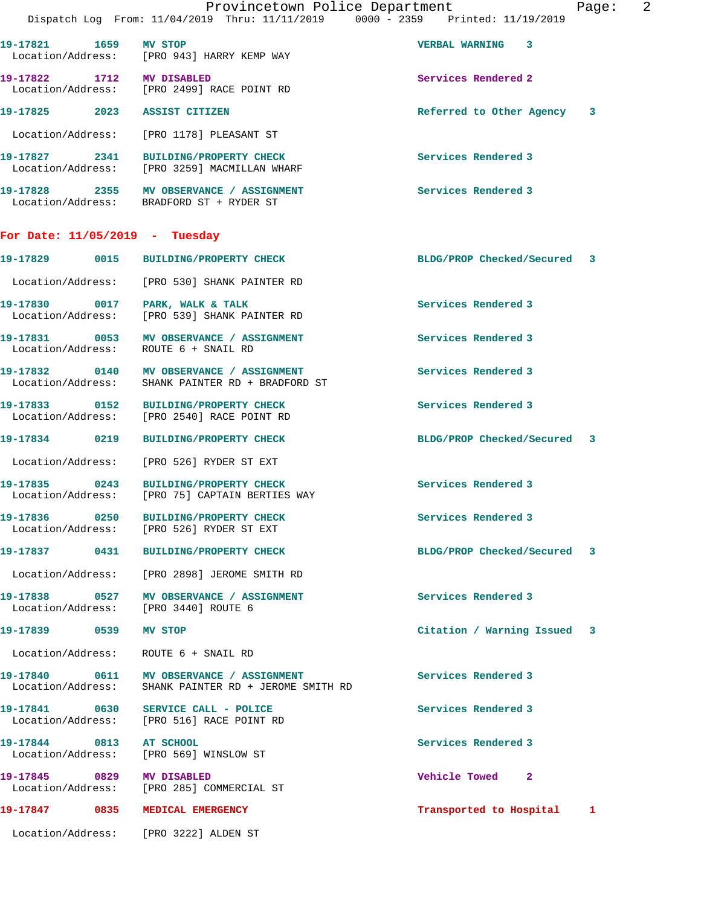|                                              | Provincetown Police Department<br>Dispatch Log From: 11/04/2019 Thru: 11/11/2019 0000 - 2359 Printed: 11/19/2019 |                             | 2<br>Page: |
|----------------------------------------------|------------------------------------------------------------------------------------------------------------------|-----------------------------|------------|
| 19-17821 1659 MV STOP                        | Location/Address: [PRO 943] HARRY KEMP WAY                                                                       | VERBAL WARNING 3            |            |
| 19-17822 1712 MV DISABLED                    | Location/Address: [PRO 2499] RACE POINT RD                                                                       | Services Rendered 2         |            |
|                                              | 19-17825 2023 ASSIST CITIZEN                                                                                     | Referred to Other Agency 3  |            |
|                                              | Location/Address: [PRO 1178] PLEASANT ST                                                                         |                             |            |
|                                              | 19-17827 2341 BUILDING/PROPERTY CHECK<br>Location/Address: [PRO 3259] MACMILLAN WHARF                            | Services Rendered 3         |            |
|                                              | 19-17828 2355 MV OBSERVANCE / ASSIGNMENT<br>Location/Address: BRADFORD ST + RYDER ST                             | Services Rendered 3         |            |
| For Date: $11/05/2019$ - Tuesday             |                                                                                                                  |                             |            |
|                                              | 19-17829 0015 BUILDING/PROPERTY CHECK                                                                            | BLDG/PROP Checked/Secured 3 |            |
|                                              | Location/Address: [PRO 530] SHANK PAINTER RD                                                                     |                             |            |
| Location/Address:                            | 19-17830 0017 PARK, WALK & TALK<br>[PRO 539] SHANK PAINTER RD                                                    | Services Rendered 3         |            |
|                                              | 19-17831 0053 MV OBSERVANCE / ASSIGNMENT<br>Location/Address: ROUTE 6 + SNAIL RD                                 | Services Rendered 3         |            |
| Location/Address:                            | 19-17832 0140 MV OBSERVANCE / ASSIGNMENT<br>SHANK PAINTER RD + BRADFORD ST                                       | Services Rendered 3         |            |
|                                              | 19-17833 0152 BUILDING/PROPERTY CHECK<br>Location/Address: [PRO 2540] RACE POINT RD                              | Services Rendered 3         |            |
|                                              |                                                                                                                  | BLDG/PROP Checked/Secured 3 |            |
|                                              | Location/Address: [PRO 526] RYDER ST EXT                                                                         |                             |            |
|                                              | 19-17835 0243 BUILDING/PROPERTY CHECK<br>Location/Address: [PRO 75] CAPTAIN BERTIES WAY                          | Services Rendered 3         |            |
| 19-17836 0250                                | <b>BUILDING/PROPERTY CHECK</b><br>Location/Address: [PRO 526] RYDER ST EXT                                       | Services Rendered 3         |            |
|                                              | 19-17837 0431 BUILDING/PROPERTY CHECK                                                                            | BLDG/PROP Checked/Secured 3 |            |
|                                              | Location/Address: [PRO 2898] JEROME SMITH RD                                                                     |                             |            |
|                                              | 19-17838 0527 MV OBSERVANCE / ASSIGNMENT<br>Location/Address: [PRO 3440] ROUTE 6                                 | Services Rendered 3         |            |
| 19-17839 0539 MV STOP                        |                                                                                                                  | Citation / Warning Issued 3 |            |
| Location/Address:                            | ROUTE 6 + SNAIL RD                                                                                               |                             |            |
| Location/Address:                            | SHANK PAINTER RD + JEROME SMITH RD                                                                               | Services Rendered 3         |            |
| Location/Address:                            | 19-17841 0630 SERVICE CALL - POLICE<br>[PRO 516] RACE POINT RD                                                   | Services Rendered 3         |            |
| 19-17844 0813 AT SCHOOL<br>Location/Address: | [PRO 569] WINSLOW ST                                                                                             | Services Rendered 3         |            |
| 19-17845 0829 MV DISABLED                    | Location/Address: [PRO 285] COMMERCIAL ST                                                                        | Vehicle Towed 2             |            |
|                                              | 19-17847 0835 MEDICAL EMERGENCY                                                                                  | Transported to Hospital 1   |            |
|                                              | Location/Address: [PRO 3222] ALDEN ST                                                                            |                             |            |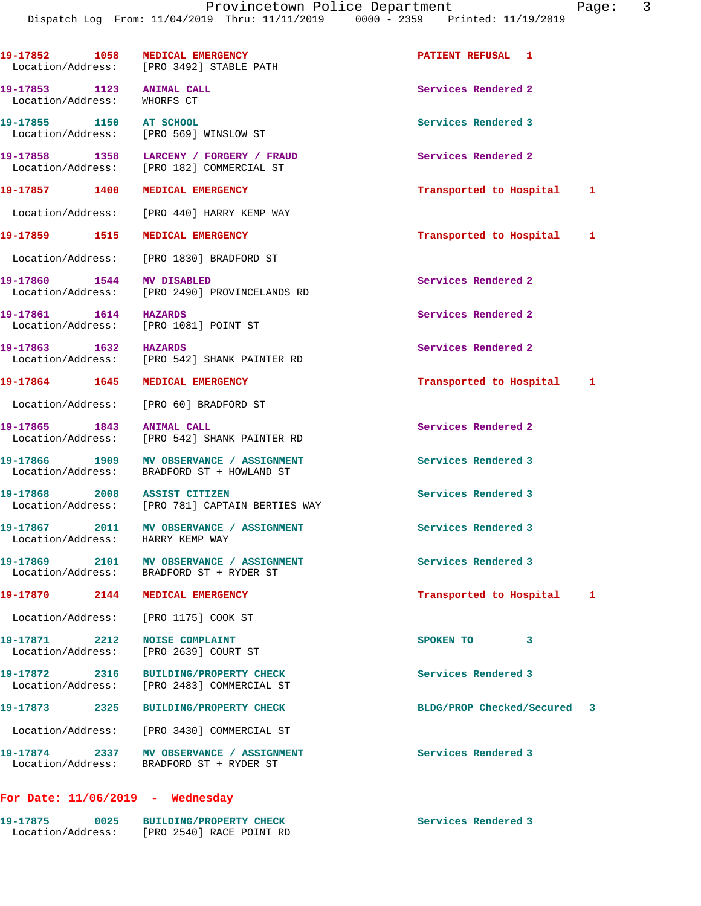| 19-17852 1058                                            | MEDICAL EMERGENCY<br>Location/Address: [PRO 3492] STABLE PATH                          | PATIENT REFUSAL 1         |   |
|----------------------------------------------------------|----------------------------------------------------------------------------------------|---------------------------|---|
| 19-17853 1123 ANIMAL CALL<br>Location/Address: WHORFS CT |                                                                                        | Services Rendered 2       |   |
| 19-17855 1150                                            | AT SCHOOL<br>Location/Address: [PRO 569] WINSLOW ST                                    | Services Rendered 3       |   |
|                                                          | 19-17858 1358 LARCENY / FORGERY / FRAUD<br>Location/Address: [PRO 182] COMMERCIAL ST   | Services Rendered 2       |   |
|                                                          | 19-17857 1400 MEDICAL EMERGENCY                                                        | Transported to Hospital   | 1 |
|                                                          | Location/Address: [PRO 440] HARRY KEMP WAY                                             |                           |   |
|                                                          | 19-17859 1515 MEDICAL EMERGENCY                                                        | Transported to Hospital   | 1 |
| Location/Address:                                        | [PRO 1830] BRADFORD ST                                                                 |                           |   |
| 19-17860 1544                                            | MV DISABLED<br>Location/Address: [PRO 2490] PROVINCELANDS RD                           | Services Rendered 2       |   |
| 19-17861 1614                                            | <b>HAZARDS</b><br>Location/Address: [PRO 1081] POINT ST                                | Services Rendered 2       |   |
| 19-17863 1632 HAZARDS                                    | Location/Address: [PRO 542] SHANK PAINTER RD                                           | Services Rendered 2       |   |
|                                                          | 19-17864 1645 MEDICAL EMERGENCY                                                        | Transported to Hospital   | 1 |
|                                                          | Location/Address: [PRO 60] BRADFORD ST                                                 |                           |   |
| 19-17865 1843                                            | <b>ANIMAL CALL</b><br>Location/Address: [PRO 542] SHANK PAINTER RD                     | Services Rendered 2       |   |
|                                                          | 19-17866 1909 MV OBSERVANCE / ASSIGNMENT<br>Location/Address: BRADFORD ST + HOWLAND ST | Services Rendered 3       |   |
|                                                          | 19-17868 2008 ASSIST CITIZEN<br>Location/Address: [PRO 781] CAPTAIN BERTIES WAY        | Services Rendered 3       |   |
|                                                          | 19-17867 2011 MV OBSERVANCE / ASSIGNMENT<br>Location/Address: HARRY KEMP WAY           | Services Rendered 3       |   |
|                                                          | 19-17869 2101 MV OBSERVANCE / ASSIGNMENT<br>Location/Address: BRADFORD ST + RYDER ST   | Services Rendered 3       |   |
|                                                          | 19-17870 2144 MEDICAL EMERGENCY                                                        | Transported to Hospital   | 1 |
|                                                          | Location/Address: [PRO 1175] COOK ST                                                   |                           |   |
| 19-17871 2212<br>Location/Address:                       | <b>NOISE COMPLAINT</b><br>[PRO 2639] COURT ST                                          | SPOKEN TO<br>3            |   |
|                                                          | 19-17872 2316 BUILDING/PROPERTY CHECK<br>Location/Address: [PRO 2483] COMMERCIAL ST    | Services Rendered 3       |   |
| 19-17873 2325                                            | <b>BUILDING/PROPERTY CHECK</b>                                                         | BLDG/PROP Checked/Secured | 3 |
|                                                          | Location/Address: [PRO 3430] COMMERCIAL ST                                             |                           |   |
|                                                          | 19-17874 2337 MV OBSERVANCE / ASSIGNMENT<br>Location/Address: BRADFORD ST + RYDER ST   | Services Rendered 3       |   |
|                                                          | For Date: $11/06/2019$ - Wednesday                                                     |                           |   |

### **19-17875 0025 BUILDING/PROPERTY CHECK Services Rendered 3**  Location/Address: [PRO 2540] RACE POINT RD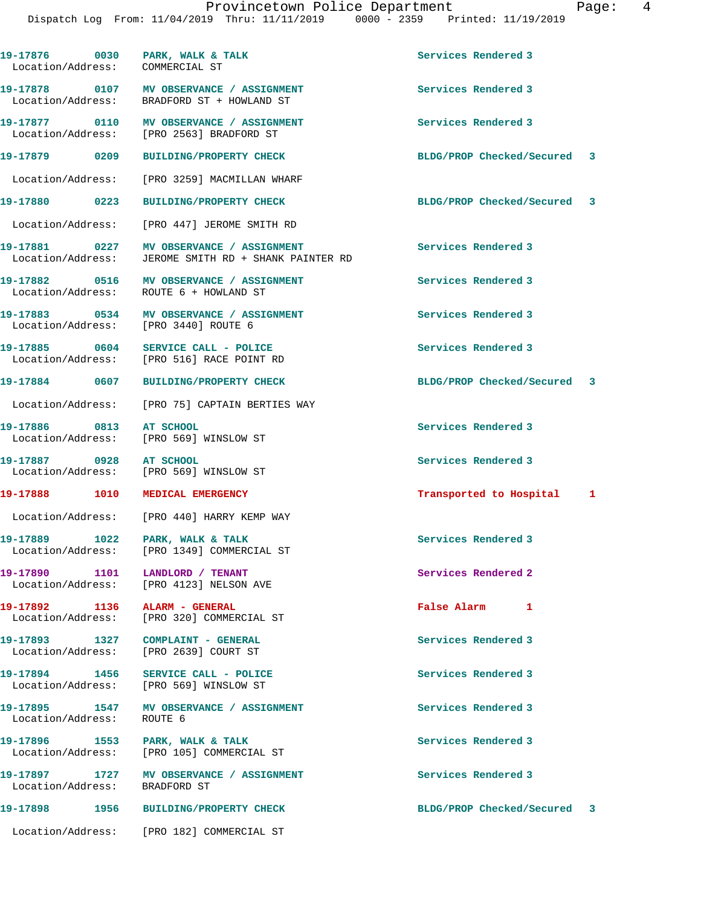**19-17876 0030 PARK, WALK & TALK Services Rendered 3** 

Location/Address: COMMERCIAL ST

**19-17878 0107 MV OBSERVANCE / ASSIGNMENT Services Rendered 3**  Location/Address: BRADFORD ST + HOWLAND ST **19-17877 0110 MV OBSERVANCE / ASSIGNMENT Services Rendered 3**  Location/Address: [PRO 2563] BRADFORD ST **19-17879 0209 BUILDING/PROPERTY CHECK BLDG/PROP Checked/Secured 3** Location/Address: [PRO 3259] MACMILLAN WHARF **19-17880 0223 BUILDING/PROPERTY CHECK BLDG/PROP Checked/Secured 3** Location/Address: [PRO 447] JEROME SMITH RD **19-17881 0227 MV OBSERVANCE / ASSIGNMENT Services Rendered 3**  Location/Address: JEROME SMITH RD + SHANK PAINTER RD **19-17882 0516 MV OBSERVANCE / ASSIGNMENT Services Rendered 3**  Location/Address: ROUTE 6 + HOWLAND ST **19-17883 0534 MV OBSERVANCE / ASSIGNMENT Services Rendered 3**  Location/Address: [PRO 3440] ROUTE 6 **19-17885 0604 SERVICE CALL - POLICE Services Rendered 3**  Location/Address: [PRO 516] RACE POINT RD **19-17884 0607 BUILDING/PROPERTY CHECK BLDG/PROP Checked/Secured 3** Location/Address: [PRO 75] CAPTAIN BERTIES WAY **19-17886 0813 AT SCHOOL Services Rendered 3**  Location/Address: [PRO 569] WINSLOW ST **19-17887 0928 AT SCHOOL Services Rendered 3**  Location/Address: [PRO 569] WINSLOW ST **19-17888 1010 MEDICAL EMERGENCY Transported to Hospital 1** Location/Address: [PRO 440] HARRY KEMP WAY **19-17889 1022 PARK, WALK & TALK Services Rendered 3**  Location/Address: [PRO 1349] COMMERCIAL ST 19-17890 1101 LANDLORD / TENANT **Services Rendered 2**  Location/Address: [PRO 4123] NELSON AVE **19-17892 1136 ALARM - GENERAL False Alarm 1**  Location/Address: [PRO 320] COMMERCIAL ST 19-17893 1327 COMPLAINT - GENERAL **19-17893** Services Rendered 3 Location/Address: [PRO 2639] COURT ST **19-17894 1456 SERVICE CALL - POLICE Services Rendered 3**  Location/Address: [PRO 569] WINSLOW ST **19-17895 1547 MV OBSERVANCE / ASSIGNMENT Services Rendered 3**  Location/Address: ROUTE 6 **19-17896 1553 PARK, WALK & TALK Services Rendered 3**  Location/Address: [PRO 105] COMMERCIAL ST **19-17897 1727 MV OBSERVANCE / ASSIGNMENT Services Rendered 3**  Location/Address: BRADFORD ST **19-17898 1956 BUILDING/PROPERTY CHECK BLDG/PROP Checked/Secured 3** Location/Address: [PRO 182] COMMERCIAL ST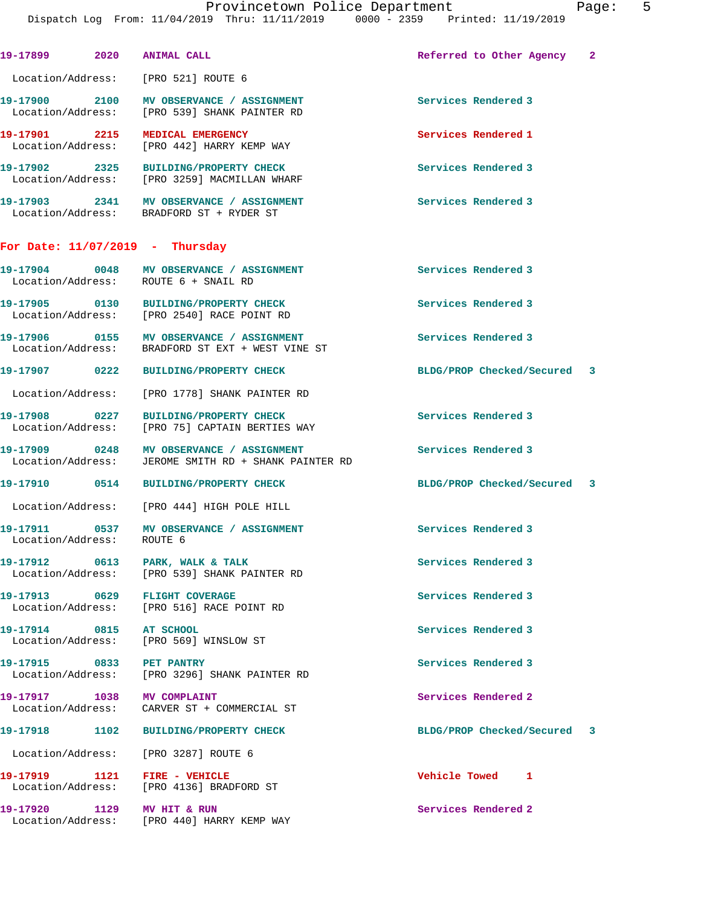| 19-17899 2020                        | <b>ANIMAL CALL</b>                                                                           | Referred to Other Agency    | $\mathbf{2}$ |
|--------------------------------------|----------------------------------------------------------------------------------------------|-----------------------------|--------------|
| Location/Address: [PRO 521] ROUTE 6  |                                                                                              |                             |              |
|                                      | 19-17900 2100 MV OBSERVANCE / ASSIGNMENT<br>Location/Address: [PRO 539] SHANK PAINTER RD     | Services Rendered 3         |              |
| 19-17901 2215 MEDICAL EMERGENCY      | Location/Address: [PRO 442] HARRY KEMP WAY                                                   | Services Rendered 1         |              |
|                                      | 19-17902 2325 BUILDING/PROPERTY CHECK<br>Location/Address: [PRO 3259] MACMILLAN WHARF        | Services Rendered 3         |              |
|                                      | 19-17903 2341 MV OBSERVANCE / ASSIGNMENT<br>Location/Address: BRADFORD ST + RYDER ST         | <b>Services Rendered 3</b>  |              |
| For Date: $11/07/2019$ - Thursday    |                                                                                              |                             |              |
| Location/Address: ROUTE 6 + SNAIL RD | 19-17904 0048 MV OBSERVANCE / ASSIGNMENT                                                     | Services Rendered 3         |              |
|                                      | 19-17905 0130 BUILDING/PROPERTY CHECK<br>Location/Address: [PRO 2540] RACE POINT RD          | Services Rendered 3         |              |
|                                      | 19-17906 0155 MV OBSERVANCE / ASSIGNMENT<br>Location/Address: BRADFORD ST EXT + WEST VINE ST | Services Rendered 3         |              |
| 19-17907 0222                        | <b>BUILDING/PROPERTY CHECK</b>                                                               | BLDG/PROP Checked/Secured 3 |              |
|                                      | Location/Address: [PRO 1778] SHANK PAINTER RD                                                |                             |              |
| 19-17908 0227                        | BUILDING/PROPERTY CHECK<br>Location/Address: [PRO 75] CAPTAIN BERTIES WAY                    | Services Rendered 3         |              |
| 19-17909 0248                        | MV OBSERVANCE / ASSIGNMENT<br>Location/Address: JEROME SMITH RD + SHANK PAINTER RD           | Services Rendered 3         |              |
|                                      | 19-17910 0514 BUILDING/PROPERTY CHECK                                                        | BLDG/PROP Checked/Secured 3 |              |
|                                      | Location/Address: [PRO 444] HIGH POLE HILL                                                   |                             |              |
| Location/Address: ROUTE 6            | 19-17911 0537 MV OBSERVANCE / ASSIGNMENT                                                     | Services Rendered 3         |              |
| 19-17912 0613 PARK, WALK & TALK      | Location/Address: [PRO 539] SHANK PAINTER RD                                                 | Services Rendered 3         |              |
| 19-17913 0629 FLIGHT COVERAGE        | Location/Address: [PRO 516] RACE POINT RD                                                    | Services Rendered 3         |              |
| 19-17914 0815 AT SCHOOL              | Location/Address: [PRO 569] WINSLOW ST                                                       | Services Rendered 3         |              |
| 19-17915 0833 PET PANTRY             | Location/Address: [PRO 3296] SHANK PAINTER RD                                                | Services Rendered 3         |              |
| 19-17917 1038 MV COMPLAINT           | Location/Address: CARVER ST + COMMERCIAL ST                                                  | Services Rendered 2         |              |
|                                      | 19-17918 1102 BUILDING/PROPERTY CHECK                                                        | BLDG/PROP Checked/Secured 3 |              |
| Location/Address: [PRO 3287] ROUTE 6 |                                                                                              |                             |              |
| 19-17919    1121    FIRE - VEHICLE   | Location/Address: [PRO 4136] BRADFORD ST                                                     | Vehicle Towed 1             |              |
| 19-17920 1129 MV HIT & RUN           | Location/Address: [PRO 440] HARRY KEMP WAY                                                   | Services Rendered 2         |              |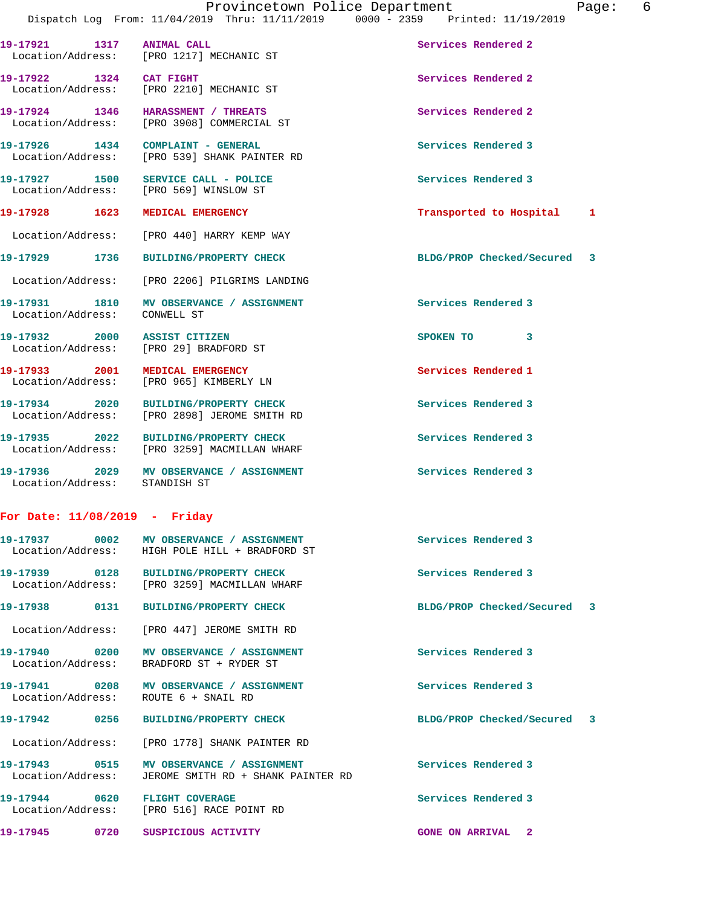| 19-17921 1317                | <b>ANIMAL CALL</b><br>Location/Address: [PRO 1217] MECHANIC ST                   | Services Rendered 2         |   |
|------------------------------|----------------------------------------------------------------------------------|-----------------------------|---|
| 19-17922 1324 CAT FIGHT      | Location/Address: [PRO 2210] MECHANIC ST                                         | Services Rendered 2         |   |
|                              | 19-17924 1346 HARASSMENT / THREATS<br>Location/Address: [PRO 3908] COMMERCIAL ST | Services Rendered 2         |   |
| 19-17926 1434                | COMPLAINT - GENERAL<br>Location/Address: [PRO 539] SHANK PAINTER RD              | Services Rendered 3         |   |
|                              | 19-17927 1500 SERVICE CALL - POLICE<br>Location/Address: [PRO 569] WINSLOW ST    | Services Rendered 3         |   |
| 19-17928 1623                | MEDICAL EMERGENCY                                                                | Transported to Hospital     | 1 |
|                              | Location/Address: [PRO 440] HARRY KEMP WAY                                       |                             |   |
| 19-17929 1736                | <b>BUILDING/PROPERTY CHECK</b>                                                   | BLDG/PROP Checked/Secured 3 |   |
|                              | Location/Address: [PRO 2206] PILGRIMS LANDING                                    |                             |   |
| Location/Address:            | 19-17931 1810 MV OBSERVANCE / ASSIGNMENT<br>CONWELL ST                           | Services Rendered 3         |   |
| 19-17932 2000 ASSIST CITIZEN | Location/Address: [PRO 29] BRADFORD ST                                           | SPOKEN TO<br>3              |   |
| 19-17933 2001                | MEDICAL EMERGENCY<br>Location/Address: [PRO 965] KIMBERLY LN                     | Services Rendered 1         |   |
| 19-17934 2020                | <b>BUILDING/PROPERTY CHECK</b><br>Location/Address: [PRO 2898] JEROME SMITH RD   | Services Rendered 3         |   |
| 19-17935 2022                | BUILDING/PROPERTY CHECK<br>Location/Address: [PRO 3259] MACMILLAN WHARF          | Services Rendered 3         |   |
| 19-17936 2029                | MV OBSERVANCE / ASSIGNMENT                                                       | Services Rendered 3         |   |

### **For Date: 11/08/2019 - Friday**

Location/Address: STANDISH ST

|                                      | 19-17937 0002 MV OBSERVANCE / ASSIGNMENT<br>Location/Address: HIGH POLE HILL + BRADFORD ST | Services Rendered 3         |  |
|--------------------------------------|--------------------------------------------------------------------------------------------|-----------------------------|--|
|                                      | Location/Address: [PRO 3259] MACMILLAN WHARF                                               | Services Rendered 3         |  |
|                                      | 19-17938 0131 BUILDING/PROPERTY CHECK                                                      | BLDG/PROP Checked/Secured 3 |  |
|                                      | Location/Address: [PRO 447] JEROME SMITH RD                                                |                             |  |
|                                      | Location/Address: BRADFORD ST + RYDER ST                                                   | Services Rendered 3         |  |
| Location/Address: ROUTE 6 + SNAIL RD | 19-17941 0208 MV OBSERVANCE / ASSIGNMENT                                                   | Services Rendered 3         |  |
|                                      | 19-17942 0256 BUILDING/PROPERTY CHECK                                                      | BLDG/PROP Checked/Secured 3 |  |
|                                      | Location/Address: [PRO 1778] SHANK PAINTER RD                                              |                             |  |
| Location/Address:                    | 19-17943 0515 MV OBSERVANCE / ASSIGNMENT<br>JEROME SMITH RD + SHANK PAINTER RD             | Services Rendered 3         |  |
| 19-17944 0620 FLIGHT COVERAGE        | Location/Address: [PRO 516] RACE POINT RD                                                  | Services Rendered 3         |  |
| 19-17945                             | 0720 SUSPICIOUS ACTIVITY                                                                   | <b>GONE ON ARRIVAL 2</b>    |  |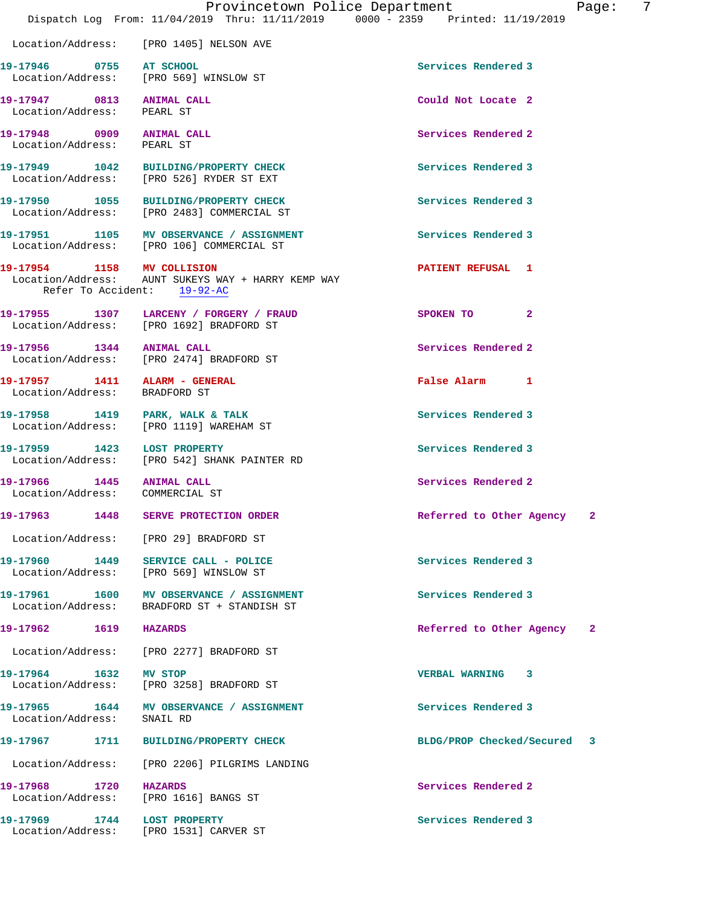|                            | Provincetown Police Department                                                                                  |                             | Page: | -7 |
|----------------------------|-----------------------------------------------------------------------------------------------------------------|-----------------------------|-------|----|
|                            | Dispatch Log From: 11/04/2019 Thru: 11/11/2019 0000 - 2359 Printed: 11/19/2019                                  |                             |       |    |
|                            | Location/Address: [PRO 1405] NELSON AVE                                                                         |                             |       |    |
| 19-17946 0755 AT SCHOOL    | Location/Address: [PRO 569] WINSLOW ST                                                                          | Services Rendered 3         |       |    |
| Location/Address: PEARL ST | 19-17947 0813 ANIMAL CALL                                                                                       | Could Not Locate 2          |       |    |
| Location/Address: PEARL ST | 19-17948 0909 ANIMAL CALL                                                                                       | Services Rendered 2         |       |    |
|                            | 19-17949 1042 BUILDING/PROPERTY CHECK<br>Location/Address: [PRO 526] RYDER ST EXT                               | Services Rendered 3         |       |    |
|                            | 19-17950 1055 BUILDING/PROPERTY CHECK<br>Location/Address: [PRO 2483] COMMERCIAL ST                             | Services Rendered 3         |       |    |
|                            | 19-17951 1105 MV OBSERVANCE / ASSIGNMENT<br>Location/Address: [PRO 106] COMMERCIAL ST                           | Services Rendered 3         |       |    |
|                            | 19-17954 1158 MV COLLISION<br>Location/Address: AUNT SUKEYS WAY + HARRY KEMP WAY<br>Refer To Accident: 19-92-AC | PATIENT REFUSAL 1           |       |    |
|                            | 19-17955 1307 LARCENY / FORGERY / FRAUD<br>Location/Address: [PRO 1692] BRADFORD ST                             | SPOKEN TO 2                 |       |    |
|                            | 19-17956 1344 ANIMAL CALL<br>Location/Address: [PRO 2474] BRADFORD ST                                           | Services Rendered 2         |       |    |
|                            | 19-17957 1411 ALARM - GENERAL<br>Location/Address: BRADFORD ST                                                  | False Alarm 1               |       |    |
|                            | 19-17958 1419 PARK, WALK & TALK<br>Location/Address: [PRO 1119] WAREHAM ST                                      | Services Rendered 3         |       |    |
|                            | 19-17959 1423 LOST PROPERTY<br>Location/Address: [PRO 542] SHANK PAINTER RD                                     | Services Rendered 3         |       |    |
|                            | 19-17966 1445 ANIMAL CALL<br>Location/Address: COMMERCIAL ST                                                    | Services Rendered 2         |       |    |
|                            | 19-17963 1448 SERVE PROTECTION ORDER                                                                            | Referred to Other Agency    |       |    |
|                            | Location/Address: [PRO 29] BRADFORD ST                                                                          |                             |       |    |
|                            | 19-17960 1449 SERVICE CALL - POLICE<br>Location/Address: [PRO 569] WINSLOW ST                                   | Services Rendered 3         |       |    |
|                            | 19-17961 1600 MV OBSERVANCE / ASSIGNMENT<br>Location/Address: BRADFORD ST + STANDISH ST                         | Services Rendered 3         |       |    |
| 19-17962 1619 HAZARDS      |                                                                                                                 | Referred to Other Agency    | -2    |    |
|                            | Location/Address: [PRO 2277] BRADFORD ST                                                                        |                             |       |    |
| 19-17964 1632 MV STOP      | Location/Address: [PRO 3258] BRADFORD ST                                                                        | VERBAL WARNING 3            |       |    |
| Location/Address: SNAIL RD | 19-17965 1644 MV OBSERVANCE / ASSIGNMENT                                                                        | Services Rendered 3         |       |    |
|                            | 19-17967 1711 BUILDING/PROPERTY CHECK                                                                           | BLDG/PROP Checked/Secured 3 |       |    |
|                            | Location/Address: [PRO 2206] PILGRIMS LANDING                                                                   |                             |       |    |
| 19-17968 1720 HAZARDS      | Location/Address: [PRO 1616] BANGS ST                                                                           | Services Rendered 2         |       |    |
|                            | 19-17969 1744 LOST PROPERTY<br>Location/Address: [PRO 1531] CARVER ST                                           | Services Rendered 3         |       |    |
|                            |                                                                                                                 |                             |       |    |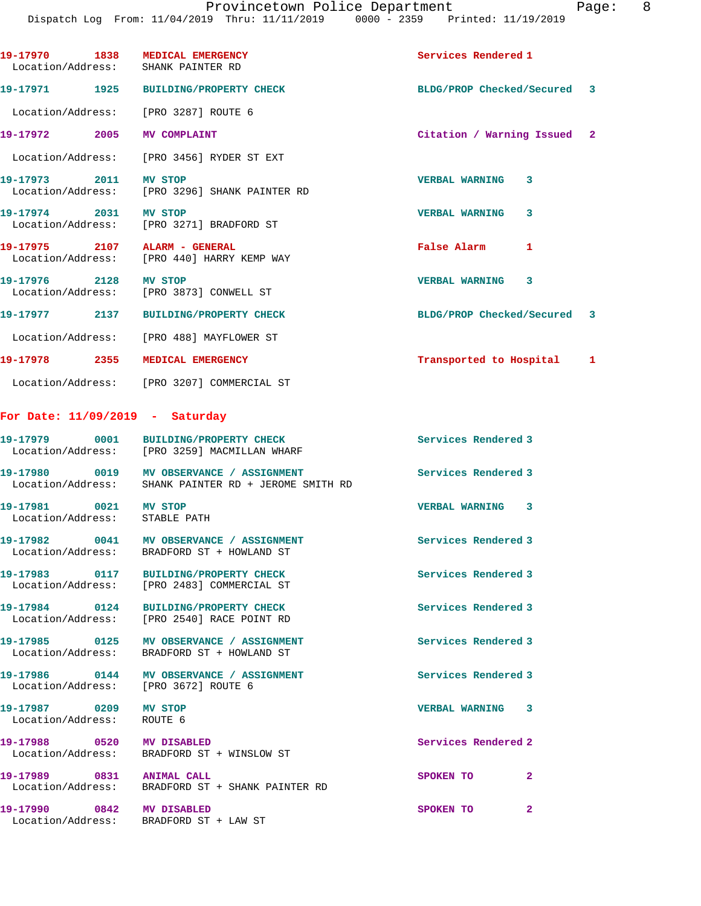|                                                    | 19-17970 1838 MEDICAL EMERGENCY<br>Location/Address: SHANK PAINTER RD                            | Services Rendered 1         |   |
|----------------------------------------------------|--------------------------------------------------------------------------------------------------|-----------------------------|---|
|                                                    | 19-17971 1925 BUILDING/PROPERTY CHECK                                                            | BLDG/PROP Checked/Secured 3 |   |
|                                                    | Location/Address: [PRO 3287] ROUTE 6                                                             |                             |   |
|                                                    | 19-17972 2005 MV COMPLAINT                                                                       | Citation / Warning Issued 2 |   |
|                                                    | Location/Address: [PRO 3456] RYDER ST EXT                                                        |                             |   |
| 19-17973 2011 MV STOP                              | Location/Address: [PRO 3296] SHANK PAINTER RD                                                    | <b>VERBAL WARNING</b><br>3  |   |
| 19-17974 2031 MV STOP                              | Location/Address: [PRO 3271] BRADFORD ST                                                         | <b>VERBAL WARNING</b><br>3  |   |
|                                                    | 19-17975 2107 ALARM - GENERAL<br>Location/Address: [PRO 440] HARRY KEMP WAY                      | <b>False Alarm</b><br>1     |   |
| 19-17976 2128 MV STOP                              | Location/Address: [PRO 3873] CONWELL ST                                                          | <b>VERBAL WARNING 3</b>     |   |
|                                                    | 19-17977 2137 BUILDING/PROPERTY CHECK                                                            | BLDG/PROP Checked/Secured 3 |   |
|                                                    | Location/Address: [PRO 488] MAYFLOWER ST                                                         |                             |   |
|                                                    | 19-17978 2355 MEDICAL EMERGENCY                                                                  | Transported to Hospital     | ı |
|                                                    | Location/Address: [PRO 3207] COMMERCIAL ST                                                       |                             |   |
|                                                    | For Date: $11/09/2019$ - Saturday                                                                |                             |   |
|                                                    | 19-17979 0001 BUILDING/PROPERTY CHECK<br>Location/Address: [PRO 3259] MACMILLAN WHARF            | Services Rendered 3         |   |
|                                                    | 19-17980 0019 MV OBSERVANCE / ASSIGNMENT<br>Location/Address: SHANK PAINTER RD + JEROME SMITH RD | Services Rendered 3         |   |
| 19-17981 0021 MV STOP                              | Location/Address: STABLE PATH                                                                    | VERBAL WARNING 3            |   |
|                                                    | 19-17982 0041 MV OBSERVANCE / ASSIGNMENT<br>Location/Address: BRADFORD ST + HOWLAND ST           | Services Rendered 3         |   |
|                                                    | 19-17983 0117 BUILDING/PROPERTY CHECK<br>Location/Address: [PRO 2483] COMMERCIAL ST              | Services Rendered 3         |   |
|                                                    | 19-17984 0124 BUILDING/PROPERTY CHECK<br>Location/Address: [PRO 2540] RACE POINT RD              | Services Rendered 3         |   |
|                                                    | 19-17985 0125 MV OBSERVANCE / ASSIGNMENT<br>Location/Address: BRADFORD ST + HOWLAND ST           | Services Rendered 3         |   |
|                                                    | 19-17986 0144 MV OBSERVANCE / ASSIGNMENT<br>Location/Address: [PRO 3672] ROUTE 6                 | Services Rendered 3         |   |
| 19-17987 0209 MV STOP<br>Location/Address: ROUTE 6 |                                                                                                  | VERBAL WARNING<br>-3        |   |
|                                                    | 19-17988 0520 MV DISABLED<br>Location/Address: BRADFORD ST + WINSLOW ST                          | Services Rendered 2         |   |
| 19-17989 0831 ANIMAL CALL                          | Location/Address: BRADFORD ST + SHANK PAINTER RD                                                 | SPOKEN TO<br>2              |   |
| 19-17990 0842 MV DISABLED                          | Location/Address: BRADFORD ST + LAW ST                                                           | SPOKEN TO<br>2              |   |
|                                                    |                                                                                                  |                             |   |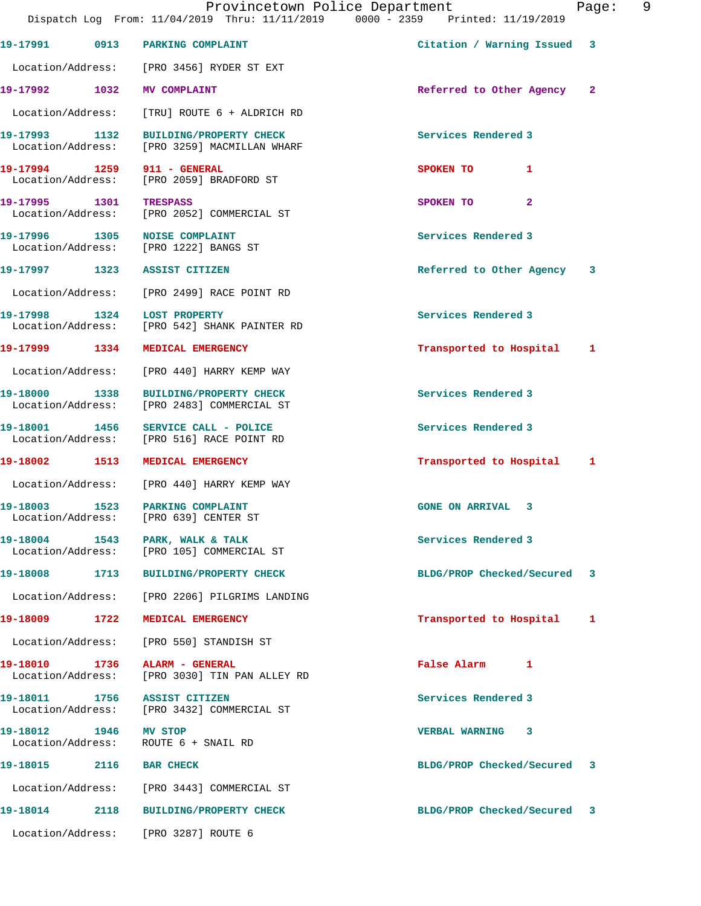|                         |      | Provincetown Police Department<br>Dispatch Log From: 11/04/2019 Thru: 11/11/2019 0000 - 2359 Printed: 11/19/2019 |                             | 9<br>Page:   |
|-------------------------|------|------------------------------------------------------------------------------------------------------------------|-----------------------------|--------------|
|                         |      | 19-17991 0913 PARKING COMPLAINT                                                                                  | Citation / Warning Issued 3 |              |
|                         |      | Location/Address: [PRO 3456] RYDER ST EXT                                                                        |                             |              |
|                         |      | 19-17992 1032 MV COMPLAINT                                                                                       | Referred to Other Agency    | $\mathbf{2}$ |
|                         |      | Location/Address: [TRU] ROUTE 6 + ALDRICH RD                                                                     |                             |              |
|                         |      | 19-17993 1132 BUILDING/PROPERTY CHECK<br>Location/Address: [PRO 3259] MACMILLAN WHARF                            | Services Rendered 3         |              |
|                         |      | 19-17994 1259 911 - GENERAL<br>Location/Address: [PRO 2059] BRADFORD ST                                          | 1<br>SPOKEN TO              |              |
| 19-17995 1301           |      | TRESPASS<br>Location/Address: [PRO 2052] COMMERCIAL ST                                                           | $\overline{2}$<br>SPOKEN TO |              |
| Location/Address:       |      | 19-17996 1305 NOISE COMPLAINT<br>[PRO 1222] BANGS ST                                                             | Services Rendered 3         |              |
|                         |      | 19-17997 1323 ASSIST CITIZEN                                                                                     | Referred to Other Agency    | 3            |
|                         |      | Location/Address: [PRO 2499] RACE POINT RD                                                                       |                             |              |
|                         |      | 19-17998 1324 LOST PROPERTY<br>Location/Address: [PRO 542] SHANK PAINTER RD                                      | Services Rendered 3         |              |
| 19-17999 1334           |      | <b>MEDICAL EMERGENCY</b>                                                                                         | Transported to Hospital     | 1            |
| Location/Address:       |      | [PRO 440] HARRY KEMP WAY                                                                                         |                             |              |
| 19-18000 1338           |      | <b>BUILDING/PROPERTY CHECK</b><br>Location/Address: [PRO 2483] COMMERCIAL ST                                     | Services Rendered 3         |              |
| 19-18001 1456           |      | SERVICE CALL - POLICE<br>Location/Address: [PRO 516] RACE POINT RD                                               | Services Rendered 3         |              |
|                         |      | 19-18002 1513 MEDICAL EMERGENCY                                                                                  | Transported to Hospital 1   |              |
|                         |      | Location/Address: [PRO 440] HARRY KEMP WAY                                                                       |                             |              |
| 19-18003                | 1523 | PARKING COMPLAINT<br>Location/Address: [PRO 639] CENTER ST                                                       | <b>GONE ON ARRIVAL</b><br>3 |              |
|                         |      | 19-18004 1543 PARK, WALK & TALK<br>Location/Address: [PRO 105] COMMERCIAL ST                                     | Services Rendered 3         |              |
|                         |      | 19-18008 1713 BUILDING/PROPERTY CHECK                                                                            | BLDG/PROP Checked/Secured 3 |              |
| Location/Address:       |      | [PRO 2206] PILGRIMS LANDING                                                                                      |                             |              |
| 19-18009 1722           |      | MEDICAL EMERGENCY                                                                                                | Transported to Hospital     | 1            |
| Location/Address:       |      | [PRO 550] STANDISH ST                                                                                            |                             |              |
| 19-18010 1736           |      | ALARM - GENERAL<br>Location/Address: [PRO 3030] TIN PAN ALLEY RD                                                 | False Alarm 1               |              |
|                         |      | 19-18011 1756 ASSIST CITIZEN<br>Location/Address: [PRO 3432] COMMERCIAL ST                                       | Services Rendered 3         |              |
| 19-18012 1946 MV STOP   |      | Location/Address: ROUTE 6 + SNAIL RD                                                                             | VERBAL WARNING 3            |              |
| 19-18015 2116 BAR CHECK |      |                                                                                                                  | BLDG/PROP Checked/Secured 3 |              |
|                         |      | Location/Address: [PRO 3443] COMMERCIAL ST                                                                       |                             |              |
|                         |      | 19-18014 2118 BUILDING/PROPERTY CHECK                                                                            | BLDG/PROP Checked/Secured 3 |              |
|                         |      | Location/Address: [PRO 3287] ROUTE 6                                                                             |                             |              |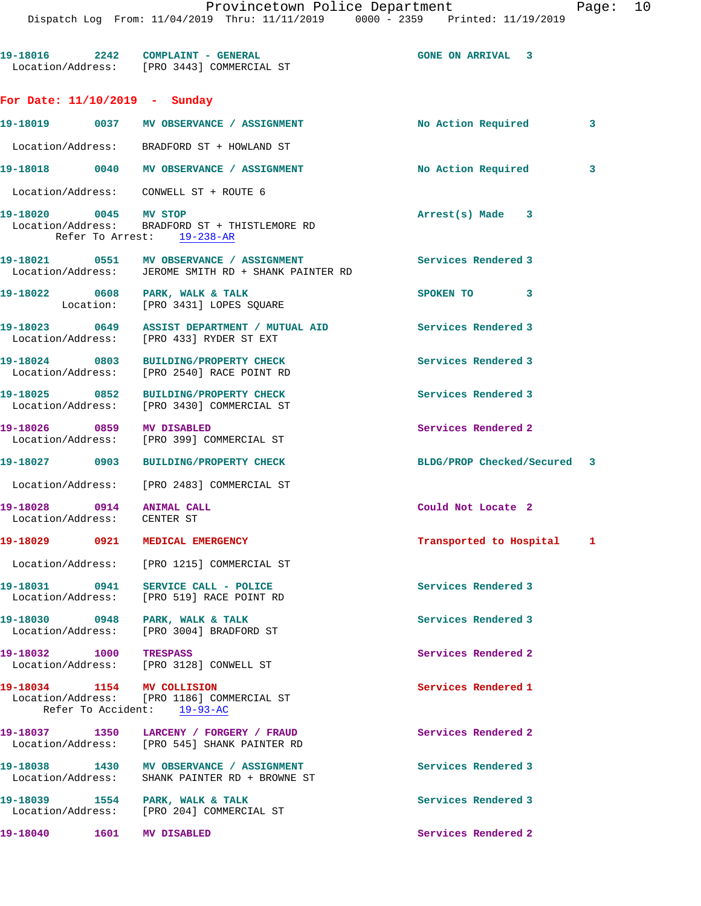Provincetown Police Department Fage: 10 Dispatch Log From: 11/04/2019 Thru: 11/11/2019 0000 - 2359 Printed: 11/19/2019 19-18016 2242 COMPLAINT - GENERAL **19-18016** ON ARRIVAL 3 Location/Address: [PRO 3443] COMMERCIAL ST **For Date: 11/10/2019 - Sunday 19-18019 0037 MV OBSERVANCE / ASSIGNMENT No Action Required 3** Location/Address: BRADFORD ST + THISTLEMORE RD

| 19-18020          | 0045        | MV STOP                              | Arrest(s) Made<br>3 |  |
|-------------------|-------------|--------------------------------------|---------------------|--|
| Location/Address: |             | CONWELL ST + ROUTE 6                 |                     |  |
| 19-18018          | 0040        | MV OBSERVANCE /<br><b>ASSIGNMENT</b> | No Action Required  |  |
| Location/Address: |             | BRADFORD ST + HOWLAND ST             |                     |  |
| TA-TROTA          | <b>UU37</b> | MV OBSERVANCE / ASSIGNMENT           | NO ACtion Required  |  |

# Refer To Arrest: 19-238-AR

- 19-18021 **0551 MV OBSERVANCE / ASSIGNMENT** Services Rendered 3 Location/Address: JEROME SMITH RD + SHANK PAINTER RD
- **19-18022 0608 PARK, WALK & TALK SPOKEN TO 3**  Location: [PRO 3431] LOPES SQUARE
- **19-18023 0649 ASSIST DEPARTMENT / MUTUAL AID Services Rendered 3**  Location/Address: [PRO 433] RYDER ST EXT
- **19-18024 0803 BUILDING/PROPERTY CHECK Services Rendered 3**  Location/Address: [PRO 2540] RACE POINT RD
- **19-18025 0852 BUILDING/PROPERTY CHECK Services Rendered 3**  Location/Address: [PRO 3430] COMMERCIAL ST
- **19-18026** 0859 MVDISABLED **Services Rendered 2** (PRO 399) COMMERCIAL ST [PRO 399] COMMERCIAL ST
- **19-18027 0903 BUILDING/PROPERTY CHECK BLDG/PROP Checked/Secured 3**
- Location/Address: [PRO 2483] COMMERCIAL ST
- **19-18028 0914 ANIMAL CALL Could Not Locate 2**  Location/Address: CENTER ST

#### **19-18029 0921 MEDICAL EMERGENCY Transported to Hospital 1**

Location/Address: [PRO 1215] COMMERCIAL ST

19-18031 0941 SERVICE CALL - POLICE **Services** Rendered 3 Location/Address: [PRO 519] RACE POINT RD

**19-18030 0948 PARK, WALK & TALK Services Rendered 3**  Location/Address: [PRO 3004] BRADFORD ST

**19-18032 1000 TRESPASS Services Rendered 2**  Location/Address: [PRO 3128] CONWELL ST

**19-18034 1154 MV COLLISION Services Rendered 1**  Location/Address: [PRO 1186] COMMERCIAL ST Refer To Accident: 19-93-AC

**19-18037 1350 LARCENY / FORGERY / FRAUD Services Rendered 2**  Location/Address: [PRO 545] SHANK PAINTER RD

19-18038 1430 MV OBSERVANCE / ASSIGNMENT **Services Rendered 3** Location/Address: SHANK PAINTER RD + BROWNE ST

19-18039 1554 PARK, WALK & TALK **Services Rendered 3** Location/Address: [PRO 204] COMMERCIAL ST

**19-18040 1601 MV DISABLED Services Rendered 2** 

- 
- 
- 
- 
-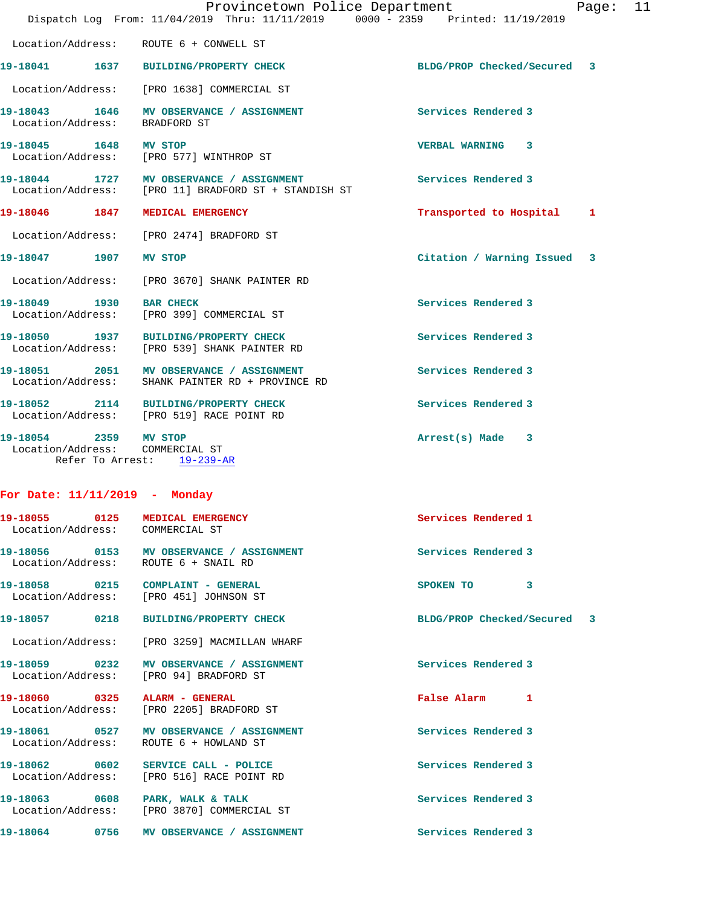|                       |                                                                                              | Provincetown Police Department<br>Dispatch Log From: 11/04/2019 Thru: 11/11/2019 0000 - 2359 Printed: 11/19/2019 |                             | Page: | 11 |
|-----------------------|----------------------------------------------------------------------------------------------|------------------------------------------------------------------------------------------------------------------|-----------------------------|-------|----|
|                       | Location/Address: ROUTE 6 + CONWELL ST                                                       |                                                                                                                  |                             |       |    |
| 19-18041              | 1637 BUILDING/PROPERTY CHECK                                                                 |                                                                                                                  | BLDG/PROP Checked/Secured 3 |       |    |
|                       | Location/Address: [PRO 1638] COMMERCIAL ST                                                   |                                                                                                                  |                             |       |    |
| Location/Address:     | 19-18043 1646 MV OBSERVANCE / ASSIGNMENT<br>BRADFORD ST                                      |                                                                                                                  | Services Rendered 3         |       |    |
| 19-18045 1648 MV STOP | Location/Address: [PRO 577] WINTHROP ST                                                      |                                                                                                                  | VERBAL WARNING 3            |       |    |
|                       |                                                                                              | 19-18044 1727 MV OBSERVANCE / ASSIGNMENT<br>Location/Address: [PRO 11] BRADFORD ST + STANDISH ST                 | Services Rendered 3         |       |    |
| 19-18046 1847         | MEDICAL EMERGENCY                                                                            |                                                                                                                  | Transported to Hospital     | 1     |    |
|                       | Location/Address: [PRO 2474] BRADFORD ST                                                     |                                                                                                                  |                             |       |    |
| 19-18047 1907         | <b>MV STOP</b>                                                                               |                                                                                                                  | Citation / Warning Issued 3 |       |    |
|                       | Location/Address: [PRO 3670] SHANK PAINTER RD                                                |                                                                                                                  |                             |       |    |
| 19-18049 1930         | <b>BAR CHECK</b><br>Location/Address: [PRO 399] COMMERCIAL ST                                |                                                                                                                  | Services Rendered 3         |       |    |
|                       | 19-18050 1937 BUILDING/PROPERTY CHECK<br>Location/Address: [PRO 539] SHANK PAINTER RD        |                                                                                                                  | Services Rendered 3         |       |    |
|                       | 19-18051 2051 MV OBSERVANCE / ASSIGNMENT<br>Location/Address: SHANK PAINTER RD + PROVINCE RD |                                                                                                                  | Services Rendered 3         |       |    |
|                       | 19-18052 2114 BUILDING/PROPERTY CHECK<br>Location/Address: [PRO 519] RACE POINT RD           |                                                                                                                  | Services Rendered 3         |       |    |
| 19-18054 2359 MV STOP | Location/Address: COMMERCIAL ST<br>Refer To Arrest: 19-239-AR                                |                                                                                                                  | Arrest(s) Made 3            |       |    |
|                       |                                                                                              |                                                                                                                  |                             |       |    |

## **For Date: 11/11/2019 - Monday**

| 19-18055 0125<br>Location/Address: COMMERCIAL ST | <b>MEDICAL EMERGENCY</b>                                                           | Services Rendered 1                  |
|--------------------------------------------------|------------------------------------------------------------------------------------|--------------------------------------|
|                                                  | Location/Address: ROUTE 6 + SNAIL RD                                               |                                      |
|                                                  | 19-18058 0215 COMPLAINT - GENERAL<br>Location/Address: [PRO 451] JOHNSON ST        | $\overline{\mathbf{3}}$<br>SPOKEN TO |
|                                                  | 19-18057 0218 BUILDING/PROPERTY CHECK                                              | BLDG/PROP Checked/Secured 3          |
|                                                  | Location/Address: [PRO 3259] MACMILLAN WHARF                                       |                                      |
|                                                  | 19-18059 0232 MV OBSERVANCE / ASSIGNMENT<br>Location/Address: [PRO 94] BRADFORD ST | <b>Services Rendered 3</b>           |
|                                                  | 19-18060 0325 ALARM - GENERAL<br>Location/Address: [PRO 2205] BRADFORD ST          | False Alarm<br>-1                    |
|                                                  | 19-18061 0527 MV OBSERVANCE / ASSIGNMENT<br>Location/Address: ROUTE 6 + HOWLAND ST | Services Rendered 3                  |
|                                                  | Location/Address: [PRO 516] RACE POINT RD                                          | Services Rendered 3                  |
|                                                  | 19-18063 0608 PARK, WALK & TALK<br>Location/Address: [PRO 3870] COMMERCIAL ST      | Services Rendered 3                  |
|                                                  | 19-18064 0756 MV OBSERVANCE / ASSIGNMENT                                           | Services Rendered 3                  |